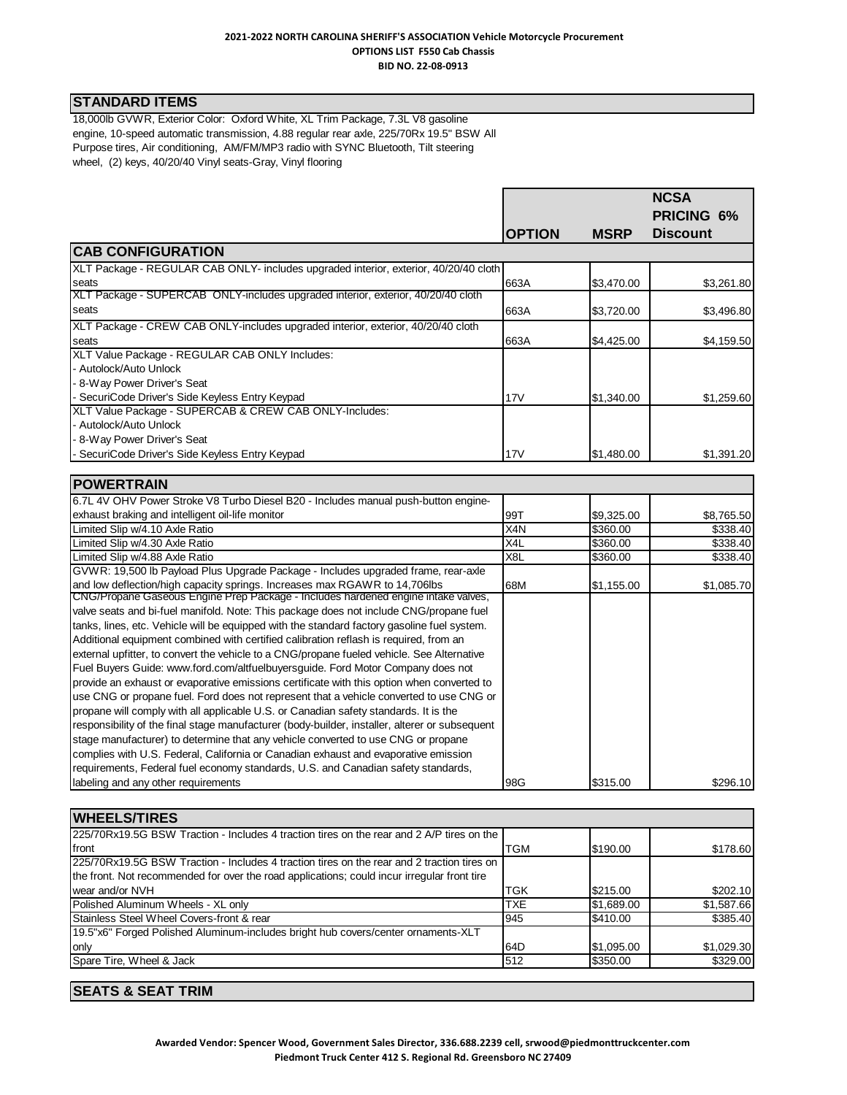# **STANDARD ITEMS**

18,000lb GVWR, Exterior Color: Oxford White, XL Trim Package, 7.3L V8 gasoline engine, 10-speed automatic transmission, 4.88 regular rear axle, 225/70Rx 19.5" BSW All Purpose tires, Air conditioning, AM/FM/MP3 radio with SYNC Bluetooth, Tilt steering wheel, (2) keys, 40/20/40 Vinyl seats-Gray, Vinyl flooring

|                                                                                                | <b>OPTION</b>    | <b>MSRP</b> | <b>NCSA</b><br>PRICING 6%<br><b>Discount</b> |
|------------------------------------------------------------------------------------------------|------------------|-------------|----------------------------------------------|
| <b>CAB CONFIGURATION</b>                                                                       |                  |             |                                              |
| XLT Package - REGULAR CAB ONLY- includes upgraded interior, exterior, 40/20/40 cloth           |                  |             |                                              |
| seats                                                                                          | 663A             | \$3,470.00  | \$3,261.80                                   |
| XLT Package - SUPERCAB ONLY-includes upgraded interior, exterior, 40/20/40 cloth               |                  |             |                                              |
| seats                                                                                          | 663A             | \$3,720.00  | \$3,496.80                                   |
| XLT Package - CREW CAB ONLY-includes upgraded interior, exterior, 40/20/40 cloth               |                  |             |                                              |
| seats                                                                                          | 663A             | \$4,425.00  | \$4,159.50                                   |
| XLT Value Package - REGULAR CAB ONLY Includes:                                                 |                  |             |                                              |
| - Autolock/Auto Unlock                                                                         |                  |             |                                              |
| - 8-Way Power Driver's Seat                                                                    |                  |             |                                              |
| SecuriCode Driver's Side Keyless Entry Keypad                                                  | 17V              | \$1,340.00  | \$1,259.60                                   |
| XLT Value Package - SUPERCAB & CREW CAB ONLY-Includes:                                         |                  |             |                                              |
| - Autolock/Auto Unlock                                                                         |                  |             |                                              |
| - 8-Way Power Driver's Seat                                                                    |                  |             |                                              |
| SecuriCode Driver's Side Keyless Entry Keypad                                                  | 17V              | \$1,480.00  | \$1,391.20                                   |
|                                                                                                |                  |             |                                              |
| <b>POWERTRAIN</b>                                                                              |                  |             |                                              |
| 6.7L 4V OHV Power Stroke V8 Turbo Diesel B20 - Includes manual push-button engine-             |                  |             |                                              |
| exhaust braking and intelligent oil-life monitor                                               | 99T              | \$9,325.00  | \$8,765.50                                   |
| Limited Slip w/4.10 Axle Ratio                                                                 | X4N              | \$360.00    | \$338.40                                     |
| Limited Slip w/4.30 Axle Ratio                                                                 | X4L              | \$360.00    | \$338.40                                     |
| Limited Slip w/4.88 Axle Ratio                                                                 | X <sub>8</sub> L | \$360.00    | \$338.40                                     |
| GVWR: 19,500 lb Payload Plus Upgrade Package - Includes upgraded frame, rear-axle              |                  |             |                                              |
| and low deflection/high capacity springs. Increases max RGAWR to 14,706lbs                     | 68M              | \$1,155.00  | \$1,085.70                                   |
| CNG/Propane Gaseous Engine Prep Package - Includes hardened engine intake valves,              |                  |             |                                              |
| valve seats and bi-fuel manifold. Note: This package does not include CNG/propane fuel         |                  |             |                                              |
| tanks, lines, etc. Vehicle will be equipped with the standard factory gasoline fuel system.    |                  |             |                                              |
| Additional equipment combined with certified calibration reflash is required, from an          |                  |             |                                              |
| external upfitter, to convert the vehicle to a CNG/propane fueled vehicle. See Alternative     |                  |             |                                              |
| Fuel Buyers Guide: www.ford.com/altfuelbuyersguide. Ford Motor Company does not                |                  |             |                                              |
| provide an exhaust or evaporative emissions certificate with this option when converted to     |                  |             |                                              |
| use CNG or propane fuel. Ford does not represent that a vehicle converted to use CNG or        |                  |             |                                              |
| propane will comply with all applicable U.S. or Canadian safety standards. It is the           |                  |             |                                              |
| responsibility of the final stage manufacturer (body-builder, installer, alterer or subsequent |                  |             |                                              |
| stage manufacturer) to determine that any vehicle converted to use CNG or propane              |                  |             |                                              |
| complies with U.S. Federal, California or Canadian exhaust and evaporative emission            |                  |             |                                              |
| requirements, Federal fuel economy standards, U.S. and Canadian safety standards,              |                  |             |                                              |
| labeling and any other requirements                                                            | 98G              | \$315.00    | \$296.10                                     |

| <b>WHEELS/TIRES</b>                                                                         |            |            |            |  |
|---------------------------------------------------------------------------------------------|------------|------------|------------|--|
| 225/70Rx19.5G BSW Traction - Includes 4 traction tires on the rear and 2 A/P tires on the   |            |            |            |  |
| front                                                                                       | <b>TGM</b> | \$190.00   | \$178.60   |  |
| 225/70Rx19.5G BSW Traction - Includes 4 traction tires on the rear and 2 traction tires on  |            |            |            |  |
| the front. Not recommended for over the road applications; could incur irregular front tire |            |            |            |  |
| wear and/or NVH                                                                             | <b>TGK</b> | \$215.00   | \$202.10   |  |
| Polished Aluminum Wheels - XL only                                                          | <b>TXE</b> | \$1,689.00 | \$1,587.66 |  |
| Stainless Steel Wheel Covers-front & rear                                                   | 945        | \$410.00   | \$385.40   |  |
| 19.5"x6" Forged Polished Aluminum-includes bright hub covers/center ornaments-XLT           |            |            |            |  |
| only                                                                                        | 64D        | \$1,095.00 | \$1,029.30 |  |
| Spare Tire, Wheel & Jack                                                                    | 512        | \$350.00   | \$329.00   |  |
|                                                                                             |            |            |            |  |

## **SEATS & SEAT TRIM**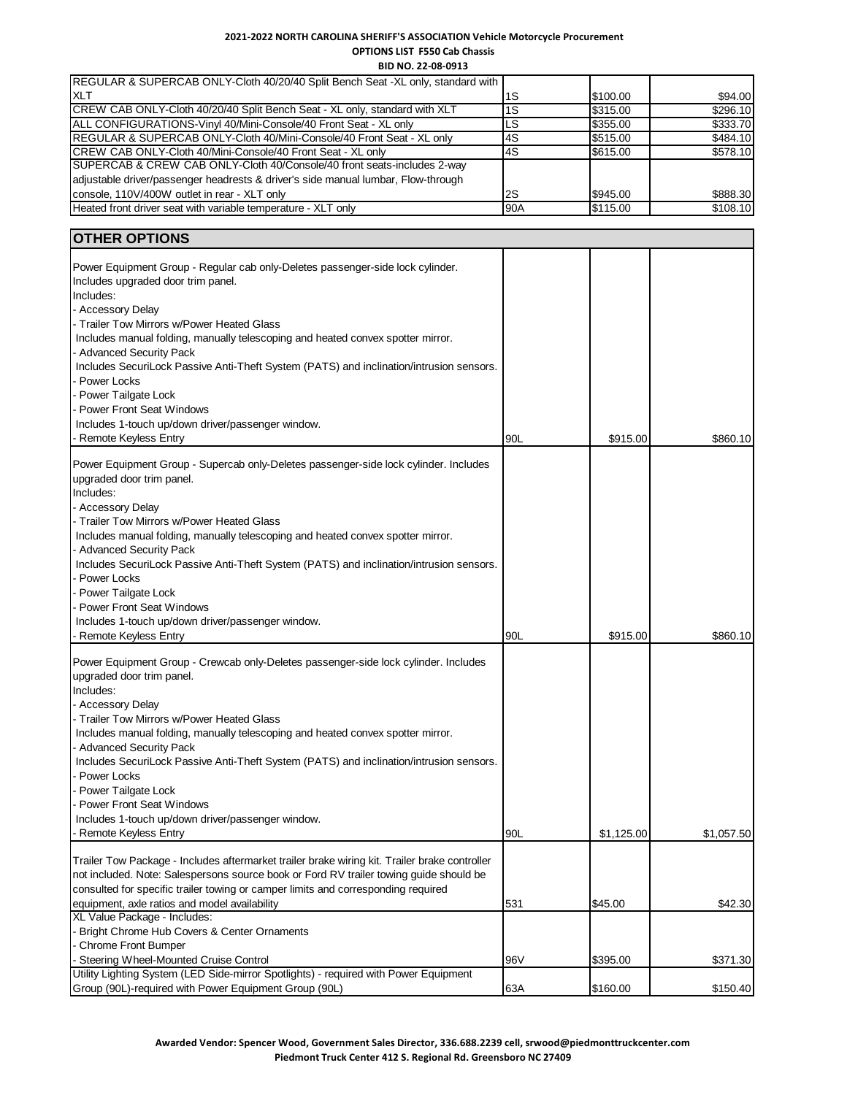**BID NO. 22-08-0913**

| REGULAR & SUPERCAB ONLY-Cloth 40/20/40 Split Bench Seat -XL only, standard with   |     |          |          |
|-----------------------------------------------------------------------------------|-----|----------|----------|
| <b>XLT</b>                                                                        | 1S  | \$100.00 | \$94.00  |
| ICREW CAB ONLY-Cloth 40/20/40 Split Bench Seat - XL only, standard with XLT       | 1S  | \$315.00 | \$296.10 |
| ALL CONFIGURATIONS-Vinyl 40/Mini-Console/40 Front Seat - XL only                  | LS  | \$355.00 | \$333.70 |
| <b>IREGULAR &amp; SUPERCAB ONLY-Cloth 40/Mini-Console/40 Front Seat - XL only</b> | 4S  | \$515.00 | \$484.10 |
| CREW CAB ONLY-Cloth 40/Mini-Console/40 Front Seat - XL only                       | 4S  | \$615.00 | \$578.10 |
| SUPERCAB & CREW CAB ONLY-Cloth 40/Console/40 front seats-includes 2-way           |     |          |          |
| adjustable driver/passenger headrests & driver's side manual lumbar, Flow-through |     |          |          |
| console, 110V/400W outlet in rear - XLT only                                      | 2S  | \$945.00 | \$888.30 |
| Heated front driver seat with variable temperature - XLT only                     | 90A | \$115.00 | \$108.10 |

# **OTHER OPTIONS**

| יוטו וט ובווו                                                                                                                   |     |            |            |
|---------------------------------------------------------------------------------------------------------------------------------|-----|------------|------------|
| Power Equipment Group - Regular cab only-Deletes passenger-side lock cylinder.                                                  |     |            |            |
| Includes upgraded door trim panel.                                                                                              |     |            |            |
| Includes:                                                                                                                       |     |            |            |
| - Accessory Delay                                                                                                               |     |            |            |
| - Trailer Tow Mirrors w/Power Heated Glass                                                                                      |     |            |            |
| Includes manual folding, manually telescoping and heated convex spotter mirror.                                                 |     |            |            |
| - Advanced Security Pack                                                                                                        |     |            |            |
| Includes SecuriLock Passive Anti-Theft System (PATS) and inclination/intrusion sensors.                                         |     |            |            |
| - Power Locks                                                                                                                   |     |            |            |
| Power Tailgate Lock                                                                                                             |     |            |            |
| <b>Power Front Seat Windows</b>                                                                                                 |     |            |            |
| Includes 1-touch up/down driver/passenger window.                                                                               |     |            |            |
| <b>Remote Keyless Entry</b>                                                                                                     | 90L | \$915.00   | \$860.10   |
| Power Equipment Group - Supercab only-Deletes passenger-side lock cylinder. Includes                                            |     |            |            |
| upgraded door trim panel.                                                                                                       |     |            |            |
| Includes:                                                                                                                       |     |            |            |
| - Accessory Delay                                                                                                               |     |            |            |
| - Trailer Tow Mirrors w/Power Heated Glass                                                                                      |     |            |            |
| Includes manual folding, manually telescoping and heated convex spotter mirror.                                                 |     |            |            |
| - Advanced Security Pack                                                                                                        |     |            |            |
| Includes SecuriLock Passive Anti-Theft System (PATS) and inclination/intrusion sensors.                                         |     |            |            |
| - Power Locks                                                                                                                   |     |            |            |
| - Power Tailgate Lock                                                                                                           |     |            |            |
| <b>Power Front Seat Windows</b>                                                                                                 |     |            |            |
| Includes 1-touch up/down driver/passenger window.                                                                               |     |            |            |
| - Remote Keyless Entry                                                                                                          | 90L | \$915.00   | \$860.10   |
| Power Equipment Group - Crewcab only-Deletes passenger-side lock cylinder. Includes                                             |     |            |            |
| upgraded door trim panel.                                                                                                       |     |            |            |
| Includes:                                                                                                                       |     |            |            |
| - Accessory Delay                                                                                                               |     |            |            |
| - Trailer Tow Mirrors w/Power Heated Glass                                                                                      |     |            |            |
| Includes manual folding, manually telescoping and heated convex spotter mirror.                                                 |     |            |            |
| - Advanced Security Pack                                                                                                        |     |            |            |
| Includes SecuriLock Passive Anti-Theft System (PATS) and inclination/intrusion sensors.                                         |     |            |            |
| - Power Locks                                                                                                                   |     |            |            |
| - Power Tailgate Lock                                                                                                           |     |            |            |
| <b>Power Front Seat Windows</b>                                                                                                 |     |            |            |
| Includes 1-touch up/down driver/passenger window.                                                                               |     |            |            |
| - Remote Keyless Entry                                                                                                          | 90L | \$1,125.00 | \$1,057.50 |
| Trailer Tow Package - Includes aftermarket trailer brake wiring kit. Trailer brake controller                                   |     |            |            |
| not included. Note: Salespersons source book or Ford RV trailer towing guide should be                                          |     |            |            |
| consulted for specific trailer towing or camper limits and corresponding required                                               |     |            |            |
| equipment, axle ratios and model availability                                                                                   | 531 | \$45.00    | \$42.30    |
| XL Value Package - Includes:                                                                                                    |     |            |            |
| - Bright Chrome Hub Covers & Center Ornaments                                                                                   |     |            |            |
| - Chrome Front Bumper                                                                                                           |     |            |            |
| - Steering Wheel-Mounted Cruise Control<br>Utility Lighting System (LED Side-mirror Spotlights) - required with Power Equipment | 96V | \$395.00   | \$371.30   |
| Group (90L)-required with Power Equipment Group (90L)                                                                           | 63A | \$160.00   | \$150.40   |
|                                                                                                                                 |     |            |            |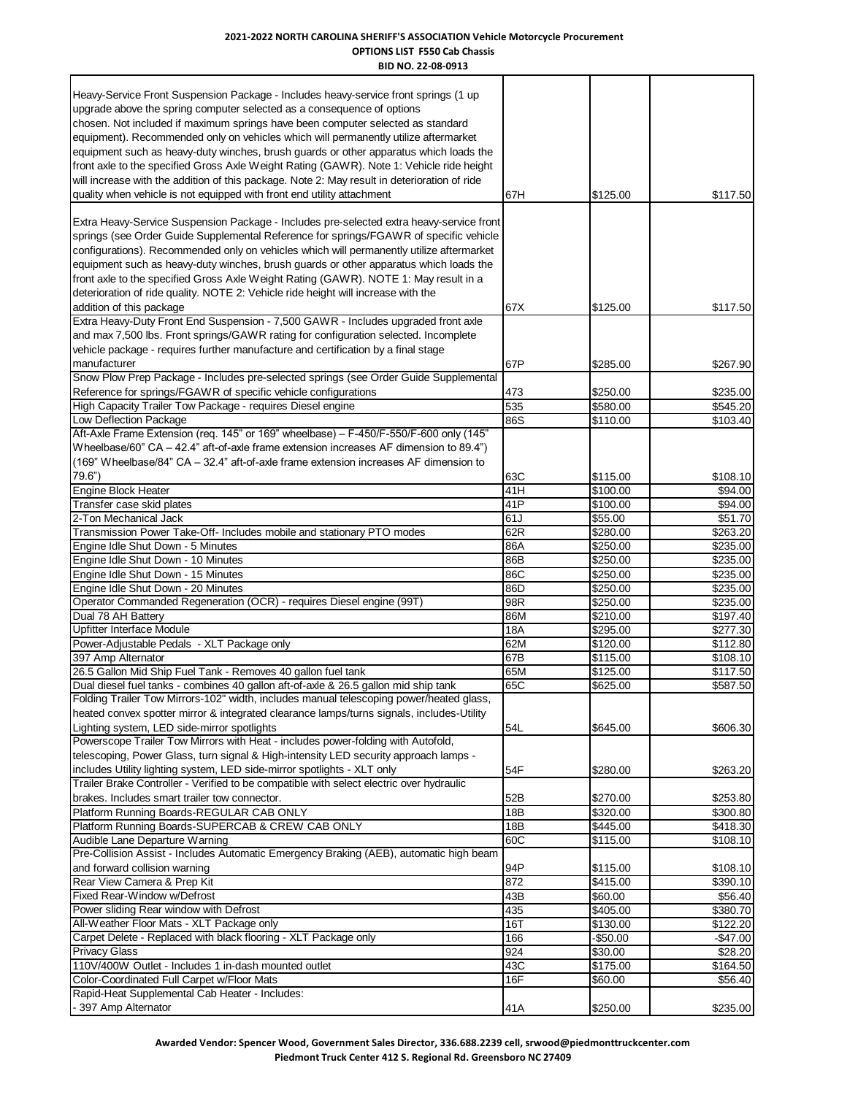**BID NO. 22-08-0913** Heavy-Service Front Suspension Package - Includes heavy-service front springs (1 up upgrade above the spring computer selected as a consequence of options chosen. Not included if maximum springs have been computer selected as standard equipment). Recommended only on vehicles which will permanently utilize aftermarket equipment such as heavy-duty winches, brush guards or other apparatus which loads the front axle to the specified Gross Axle Weight Rating (GAWR). Note 1: Vehicle ride height will increase with the addition of this package. Note 2: May result in deterioration of ride quality when vehicle is not equipped with front end utility attachment 67H **67H** \$125.00 \$117.50 Extra Heavy-Service Suspension Package - Includes pre-selected extra heavy-service front springs (see Order Guide Supplemental Reference for springs/FGAWR of specific vehicle configurations). Recommended only on vehicles which will permanently utilize aftermarket equipment such as heavy-duty winches, brush guards or other apparatus which loads the front axle to the specified Gross Axle Weight Rating (GAWR). NOTE 1: May result in a deterioration of ride quality. NOTE 2: Vehicle ride height will increase with the addition of this package 67X \$117.50 \$117.50 Extra Heavy-Duty Front End Suspension - 7,500 GAWR - Includes upgraded front axle and max 7,500 lbs. Front springs/GAWR rating for configuration selected. Incomplete vehicle package - requires further manufacture and certification by a final stage manufacturer 67P \$285.00 \$267.90 Snow Plow Prep Package - Includes pre-selected springs (see Order Guide Supplemental Reference for springs/FGAWR of specific vehicle configurations  $473$   $\left|473\right|$  \$250.00  $\left|5250.00\right|$  \$235.00 High Capacity Trailer Tow Package - requires Diesel engine 535 535 535 535 580.00 \$545.20 Low Deflection Package 86S \$103.40 Aft-Axle Frame Extension (req. 145" or 169" wheelbase) – F-450/F-550/F-600 only (145" Wheelbase/60" CA – 42.4" aft-of-axle frame extension increases AF dimension to 89.4") (169" Wheelbase/84" CA – 32.4" aft-of-axle frame extension increases AF dimension to 79.6") 63C \$115.00 \$108.10 Engine Block Heater 41H \$100.00 \$94.00 Transfer case skid plates 410 to the state of the state of the state of the state of the state of the state of the state of the state of the state of the state of the state of the state of the state of the state of the sta 2-Ton Mechanical Jack \$51.70 \$51.70 \$55.00 \$51.70 Transmission Power Take-Off- Includes mobile and stationary PTO modes 62R \$280.00 \$263.20 Engine Idle Shut Down - 5 Minutes 86A \$235.00 \$235.00 \$235.00 Engine Idle Shut Down - 10 Minutes 86B \$250.00 \$235.00 Engine Idle Shut Down - 15 Minutes 86C **86C 12 Studies 10 Studies 86C** 86C 5235.00 \$235.00 Engine Idle Shut Down - 20 Minutes 86D \$235.00 \$235.00 Operator Commanded Regeneration (OCR) - requires Diesel engine (99T)  $|$ 98R \$250.00 \$235.00 Dual 78 AH Battery 6197.40 **86M** \$210.00 \$197.40 Upfitter Interface Module \$277.30 Power-Adjustable Pedals - XLT Package only **62M** 62M \$120.00 \$112.80 397 Amp Alternator 67B \$108.10 \$108.10 \$108.10 \$108.10 \$108.10 \$108.10 \$108.10 \$108.10 \$108.10 \$108.10 \$108.10 26.5 Gallon Mid Ship Fuel Tank - Removes 40 gallon fuel tank 65 M **65M** \$125.00 \$117.50 Dual diesel fuel tanks - combines 40 gallon aft-of-axle & 26.5 gallon mid ship tank 65C \$625.00 \$587.50 Folding Trailer Tow Mirrors-102" width, includes manual telescoping power/heated glass, heated convex spotter mirror & integrated clearance lamps/turns signals, includes-Utility Lighting system, LED side-mirror spotlights 545.00 \$606.30 \$606.30 \$606.30 \$606.30 Powerscope Trailer Tow Mirrors with Heat - includes power-folding with Autofold, telescoping, Power Glass, turn signal & High-intensity LED security approach lamps includes Utility lighting system, LED side-mirror spotlights - XLT only 54F \$280.00 \$263.20 Trailer Brake Controller - Verified to be compatible with select electric over hydraulic brakes. Includes smart trailer tow connector. 6253.80 **52B** \$270.00 \$253.80 Platform Running Boards-REGULAR CAB ONLY 18B 18B \$320.00 \$300.80 Platform Running Boards-SUPERCAB & CREW CAB ONLY 18B 18445.00 \$445.00 Audible Lane Departure Warning and the state of the state of the state of the state of the state of the state of the state of the state of the state of the state of the state of the state of the state of the state of the s Pre-Collision Assist - Includes Automatic Emergency Braking (AEB), automatic high beam and forward collision warning example and the state of the state of the state of the state of the state of the state of the state of the state of the state of the state of the state of the state of the state of the state o Rear View Camera & Prep Kit 8790.10 \$390.10 \$415.00 \$390.10 \$415.00 \$390.10 Fixed Rear-Window w/Defrost the contraction of the state of the state and the state of the state of the state of the state of the state of the state of the state of the state of the state of the state of the state of the s Power sliding Rear window with Defrost **435 435 435 5380.70** \$380.70 All-Weather Floor Mats - XLT Package only 16T 16T 5130.00 \$122.20 Carpet Delete - Replaced with black flooring - XLT Package only 166 166 - 166 - 1650.00 -\$47.00 Privacy Glass 924 \$30.00 \$28.20 110V/400W Outlet - Includes 1 in-dash mounted outlet 43C 43C \$175.00 \$164.50 Color-Coordinated Full Carpet w/Floor Mats 16F 16F \$60.00 \$56.40 Rapid-Heat Supplemental Cab Heater - Includes: - 397 Amp Alternator 41A \$235.00 \$235.00 \$235.00 \$235.00 \$235.00 \$235.00 \$235.00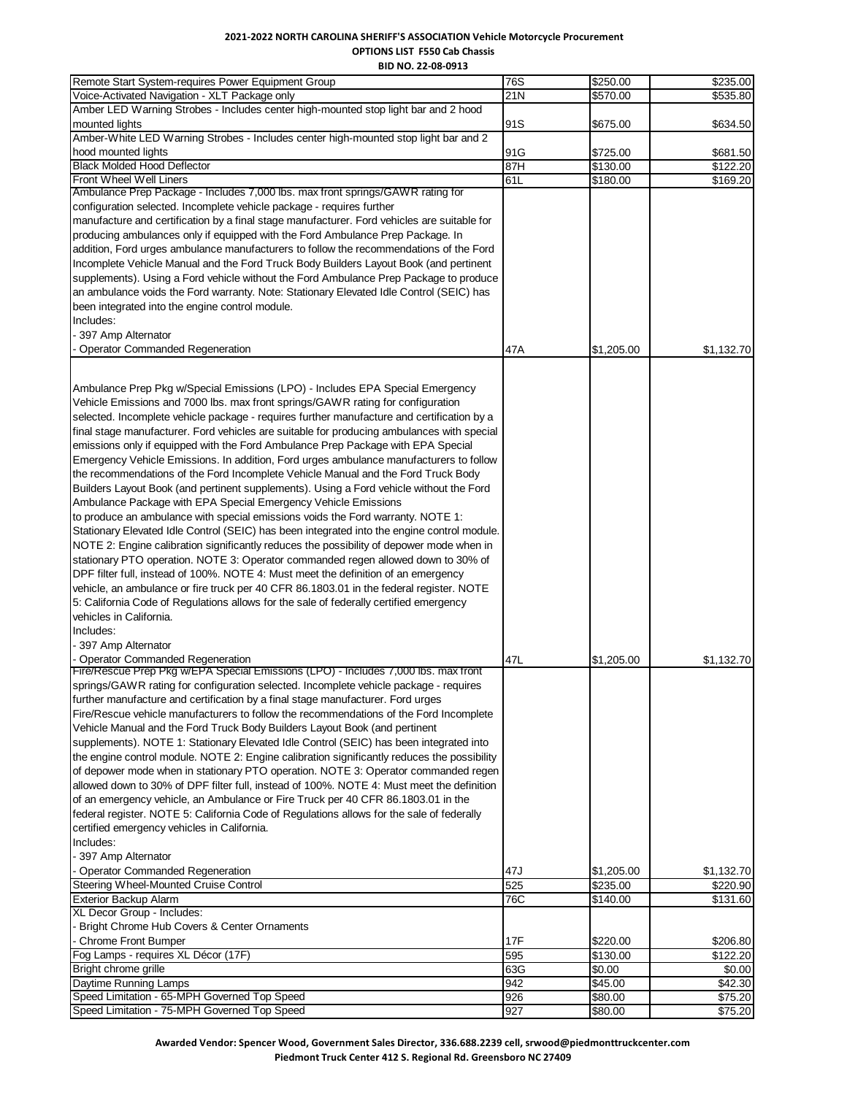**BID NO. 22-08-0913**

| Remote Start System-requires Power Equipment Group                                          | 76S        | \$250.00   | \$235.00   |
|---------------------------------------------------------------------------------------------|------------|------------|------------|
| Voice-Activated Navigation - XLT Package only                                               | 21N        | \$570.00   | \$535.80   |
| Amber LED Warning Strobes - Includes center high-mounted stop light bar and 2 hood          |            |            |            |
| mounted lights                                                                              | 91S        | \$675.00   | \$634.50   |
| Amber-White LED Warning Strobes - Includes center high-mounted stop light bar and 2         |            |            |            |
| hood mounted lights                                                                         | 91G        | \$725.00   | \$681.50   |
| <b>Black Molded Hood Deflector</b>                                                          | 87H        | \$130.00   | \$122.20   |
| Front Wheel Well Liners                                                                     | 61L        | \$180.00   | \$169.20   |
| Ambulance Prep Package - Includes 7,000 lbs. max front springs/GAWR rating for              |            |            |            |
| configuration selected. Incomplete vehicle package - requires further                       |            |            |            |
| manufacture and certification by a final stage manufacturer. Ford vehicles are suitable for |            |            |            |
| producing ambulances only if equipped with the Ford Ambulance Prep Package. In              |            |            |            |
| addition, Ford urges ambulance manufacturers to follow the recommendations of the Ford      |            |            |            |
| Incomplete Vehicle Manual and the Ford Truck Body Builders Layout Book (and pertinent       |            |            |            |
| supplements). Using a Ford vehicle without the Ford Ambulance Prep Package to produce       |            |            |            |
|                                                                                             |            |            |            |
| an ambulance voids the Ford warranty. Note: Stationary Elevated Idle Control (SEIC) has     |            |            |            |
| been integrated into the engine control module.                                             |            |            |            |
| Includes:                                                                                   |            |            |            |
| - 397 Amp Alternator                                                                        |            |            |            |
| <b>Operator Commanded Regeneration</b>                                                      | 47 A       | \$1,205.00 | \$1,132.70 |
|                                                                                             |            |            |            |
|                                                                                             |            |            |            |
| Ambulance Prep Pkg w/Special Emissions (LPO) - Includes EPA Special Emergency               |            |            |            |
| Vehicle Emissions and 7000 lbs. max front springs/GAWR rating for configuration             |            |            |            |
| selected. Incomplete vehicle package - requires further manufacture and certification by a  |            |            |            |
| final stage manufacturer. Ford vehicles are suitable for producing ambulances with special  |            |            |            |
| emissions only if equipped with the Ford Ambulance Prep Package with EPA Special            |            |            |            |
| Emergency Vehicle Emissions. In addition, Ford urges ambulance manufacturers to follow      |            |            |            |
| the recommendations of the Ford Incomplete Vehicle Manual and the Ford Truck Body           |            |            |            |
| Builders Layout Book (and pertinent supplements). Using a Ford vehicle without the Ford     |            |            |            |
| Ambulance Package with EPA Special Emergency Vehicle Emissions                              |            |            |            |
| to produce an ambulance with special emissions voids the Ford warranty. NOTE 1:             |            |            |            |
|                                                                                             |            |            |            |
| Stationary Elevated Idle Control (SEIC) has been integrated into the engine control module. |            |            |            |
| NOTE 2: Engine calibration significantly reduces the possibility of depower mode when in    |            |            |            |
| stationary PTO operation. NOTE 3: Operator commanded regen allowed down to 30% of           |            |            |            |
| DPF filter full, instead of 100%. NOTE 4: Must meet the definition of an emergency          |            |            |            |
| vehicle, an ambulance or fire truck per 40 CFR 86.1803.01 in the federal register. NOTE     |            |            |            |
| 5: California Code of Regulations allows for the sale of federally certified emergency      |            |            |            |
| vehicles in California.                                                                     |            |            |            |
| Includes:                                                                                   |            |            |            |
| 397 Amp Alternator                                                                          |            |            |            |
| - Operator Commanded Regeneration                                                           | 47L        | \$1,205.00 | \$1,132.70 |
| Fire/Rescue Prep Pkg w/EPA Special Emissions (LPO) - Includes 7,000 lbs. max front          |            |            |            |
| springs/GAWR rating for configuration selected. Incomplete vehicle package - requires       |            |            |            |
| further manufacture and certification by a final stage manufacturer. Ford urges             |            |            |            |
| Fire/Rescue vehicle manufacturers to follow the recommendations of the Ford Incomplete      |            |            |            |
| Vehicle Manual and the Ford Truck Body Builders Layout Book (and pertinent                  |            |            |            |
| supplements). NOTE 1: Stationary Elevated Idle Control (SEIC) has been integrated into      |            |            |            |
| the engine control module. NOTE 2: Engine calibration significantly reduces the possibility |            |            |            |
| of depower mode when in stationary PTO operation. NOTE 3: Operator commanded regen          |            |            |            |
| allowed down to 30% of DPF filter full, instead of 100%. NOTE 4: Must meet the definition   |            |            |            |
|                                                                                             |            |            |            |
| of an emergency vehicle, an Ambulance or Fire Truck per 40 CFR 86.1803.01 in the            |            |            |            |
| federal register. NOTE 5: California Code of Regulations allows for the sale of federally   |            |            |            |
| certified emergency vehicles in California.                                                 |            |            |            |
| Includes:                                                                                   |            |            |            |
| - 397 Amp Alternator                                                                        |            |            |            |
| <b>Operator Commanded Regeneration</b>                                                      | 47J        | \$1,205.00 | \$1,132.70 |
| Steering Wheel-Mounted Cruise Control                                                       | 525        | \$235.00   | \$220.90   |
| <b>Exterior Backup Alarm</b>                                                                | 76C        | \$140.00   | \$131.60   |
| XL Decor Group - Includes:                                                                  |            |            |            |
| Bright Chrome Hub Covers & Center Ornaments                                                 |            |            |            |
| - Chrome Front Bumper                                                                       | <b>17F</b> | \$220.00   | \$206.80   |
| Fog Lamps - requires XL Décor (17F)                                                         | 595        | \$130.00   | \$122.20   |
| Bright chrome grille                                                                        | 63G        | \$0.00     | \$0.00     |
| Daytime Running Lamps                                                                       | 942        | \$45.00    | \$42.30    |
| Speed Limitation - 65-MPH Governed Top Speed                                                | 926        | \$80.00    | \$75.20    |
| Speed Limitation - 75-MPH Governed Top Speed                                                | 927        | \$80.00    | \$75.20    |

**Awarded Vendor: Spencer Wood, Government Sales Director, 336.688.2239 cell, srwood@piedmonttruckcenter.com Piedmont Truck Center 412 S. Regional Rd. Greensboro NC 27409**